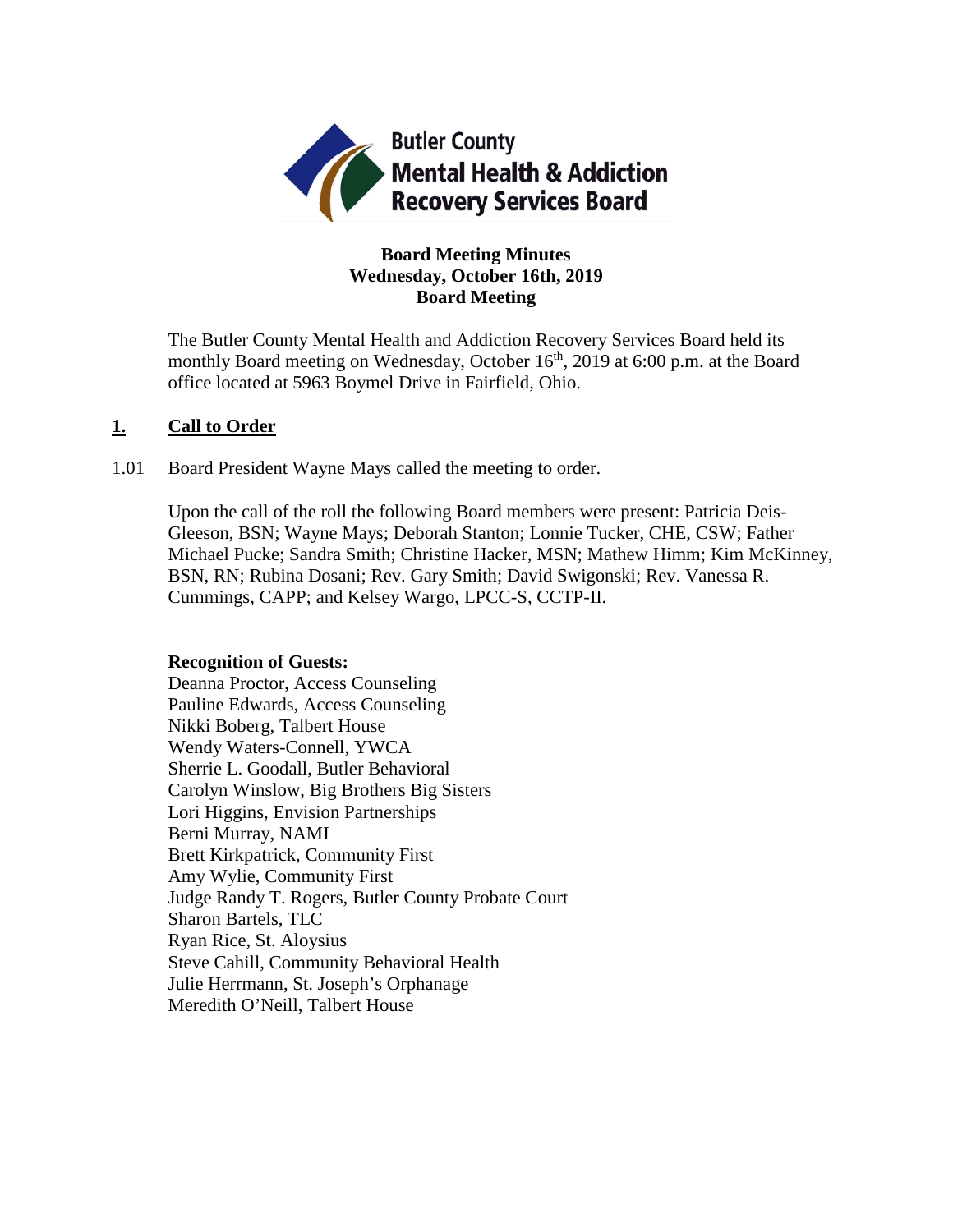

## **Board Meeting Minutes Wednesday, October 16th, 2019 Board Meeting**

The Butler County Mental Health and Addiction Recovery Services Board held its monthly Board meeting on Wednesday, October 16<sup>th</sup>, 2019 at 6:00 p.m. at the Board office located at 5963 Boymel Drive in Fairfield, Ohio.

## **1. Call to Order**

1.01 Board President Wayne Mays called the meeting to order.

Upon the call of the roll the following Board members were present: Patricia Deis-Gleeson, BSN; Wayne Mays; Deborah Stanton; Lonnie Tucker, CHE, CSW; Father Michael Pucke; Sandra Smith; Christine Hacker, MSN; Mathew Himm; Kim McKinney, BSN, RN; Rubina Dosani; Rev. Gary Smith; David Swigonski; Rev. Vanessa R. Cummings, CAPP; and Kelsey Wargo, LPCC-S, CCTP-II.

### **Recognition of Guests:**

Deanna Proctor, Access Counseling Pauline Edwards, Access Counseling Nikki Boberg, Talbert House Wendy Waters-Connell, YWCA Sherrie L. Goodall, Butler Behavioral Carolyn Winslow, Big Brothers Big Sisters Lori Higgins, Envision Partnerships Berni Murray, NAMI Brett Kirkpatrick, Community First Amy Wylie, Community First Judge Randy T. Rogers, Butler County Probate Court Sharon Bartels, TLC Ryan Rice, St. Aloysius Steve Cahill, Community Behavioral Health Julie Herrmann, St. Joseph's Orphanage Meredith O'Neill, Talbert House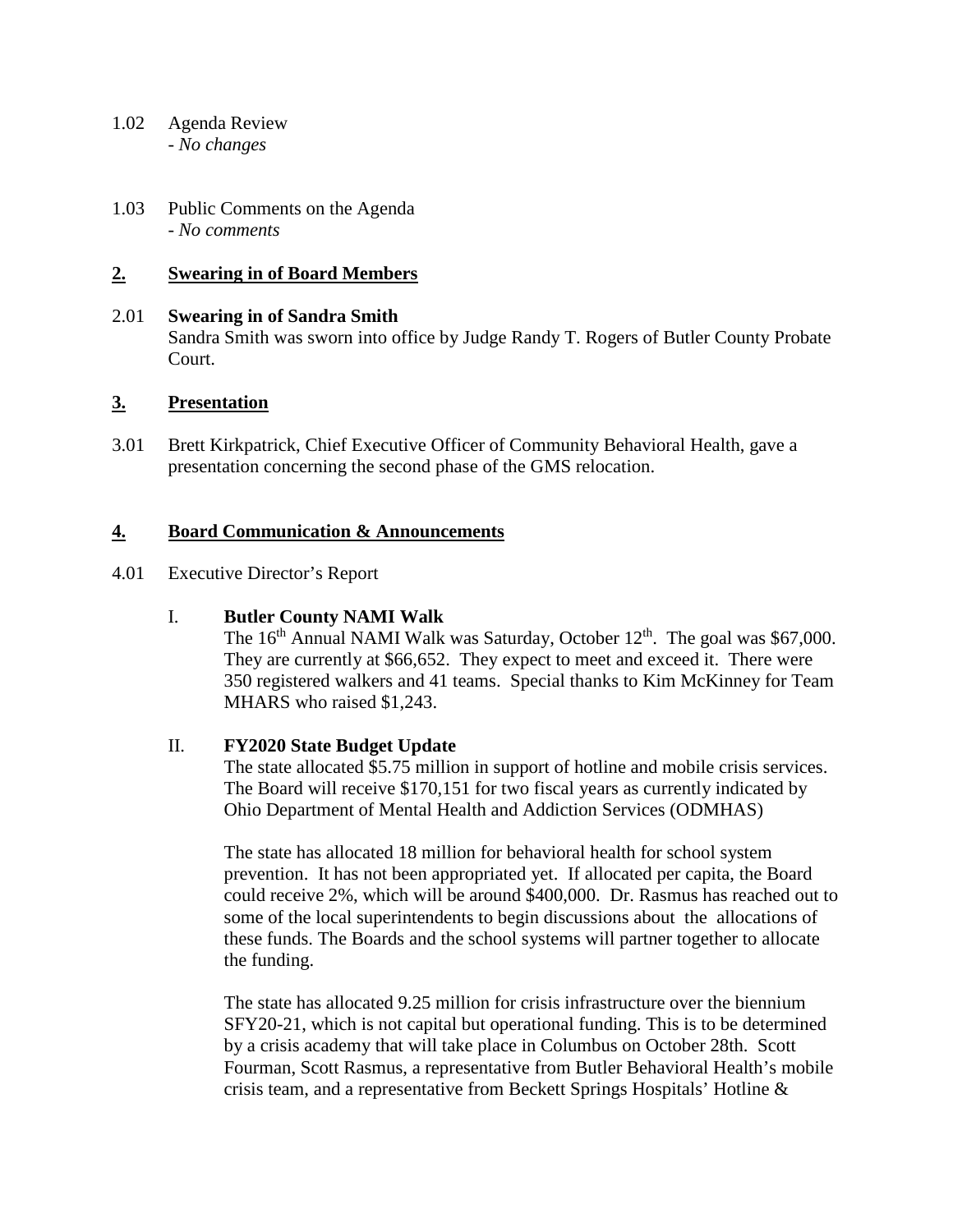- 1.02 Agenda Review *- No changes*
- 1.03 Public Comments on the Agenda - *No comments*

## **2. Swearing in of Board Members**

# 2.01 **Swearing in of Sandra Smith** Sandra Smith was sworn into office by Judge Randy T. Rogers of Butler County Probate Court.

### **3. Presentation**

3.01 Brett Kirkpatrick, Chief Executive Officer of Community Behavioral Health, gave a presentation concerning the second phase of the GMS relocation.

## **4. Board Communication & Announcements**

4.01 Executive Director's Report

### I. **Butler County NAMI Walk**

The  $16<sup>th</sup>$  Annual NAMI Walk was Saturday, October  $12<sup>th</sup>$ . The goal was \$67,000. They are currently at \$66,652. They expect to meet and exceed it. There were 350 registered walkers and 41 teams. Special thanks to Kim McKinney for Team MHARS who raised \$1,243.

### II. **FY2020 State Budget Update**

The state allocated \$5.75 million in support of hotline and mobile crisis services. The Board will receive \$170,151 for two fiscal years as currently indicated by Ohio Department of Mental Health and Addiction Services (ODMHAS)

The state has allocated 18 million for behavioral health for school system prevention. It has not been appropriated yet. If allocated per capita, the Board could receive 2%, which will be around \$400,000. Dr. Rasmus has reached out to some of the local superintendents to begin discussions about the allocations of these funds. The Boards and the school systems will partner together to allocate the funding.

The state has allocated 9.25 million for crisis infrastructure over the biennium SFY20-21, which is not capital but operational funding. This is to be determined by a crisis academy that will take place in Columbus on October 28th. Scott Fourman, Scott Rasmus, a representative from Butler Behavioral Health's mobile crisis team, and a representative from Beckett Springs Hospitals' Hotline &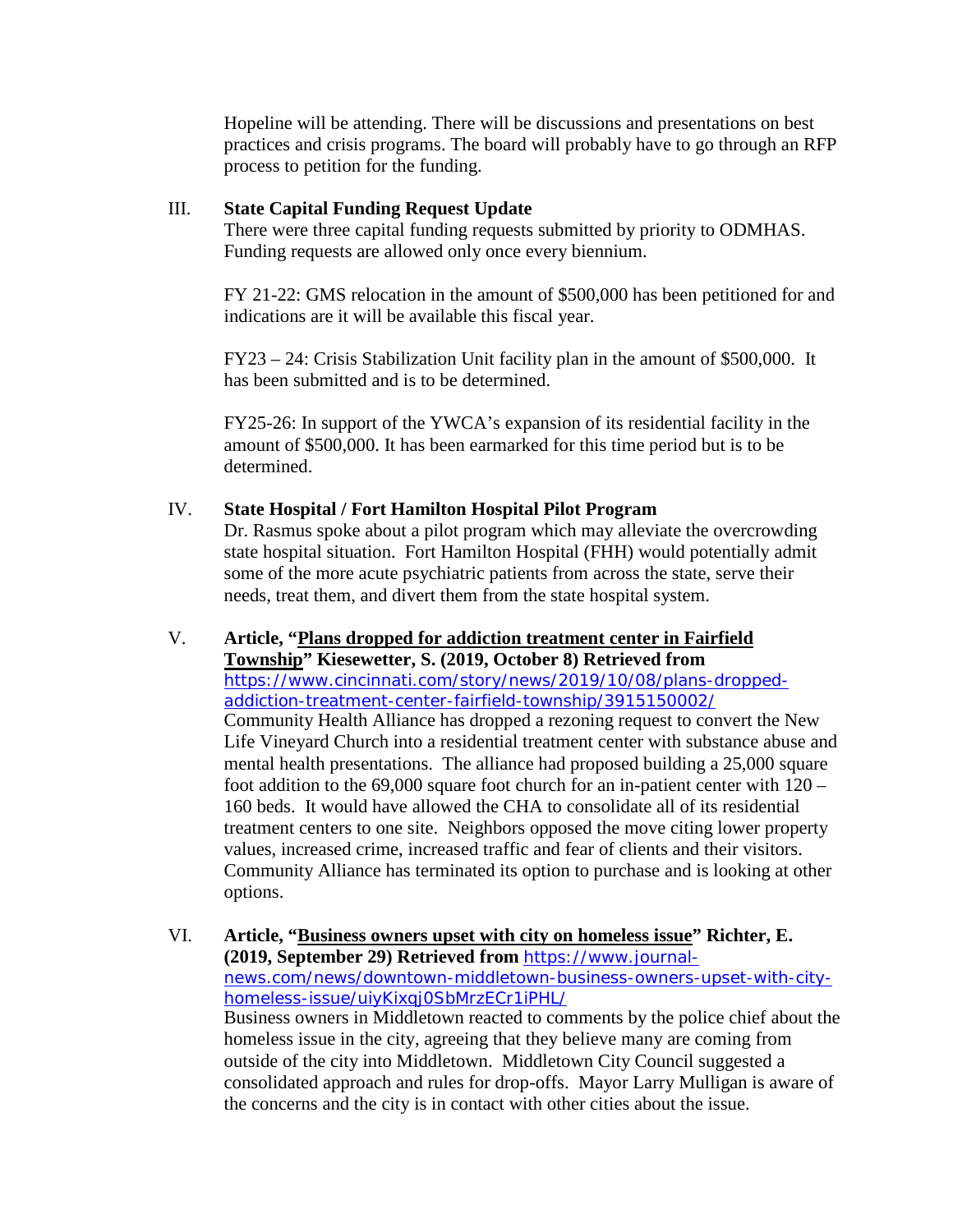Hopeline will be attending. There will be discussions and presentations on best practices and crisis programs. The board will probably have to go through an RFP process to petition for the funding.

## III. **State Capital Funding Request Update**

There were three capital funding requests submitted by priority to ODMHAS. Funding requests are allowed only once every biennium.

FY 21-22: GMS relocation in the amount of \$500,000 has been petitioned for and indications are it will be available this fiscal year.

FY23 – 24: Crisis Stabilization Unit facility plan in the amount of \$500,000. It has been submitted and is to be determined.

FY25-26: In support of the YWCA's expansion of its residential facility in the amount of \$500,000. It has been earmarked for this time period but is to be determined.

## IV. **State Hospital / Fort Hamilton Hospital Pilot Program**

Dr. Rasmus spoke about a pilot program which may alleviate the overcrowding state hospital situation. Fort Hamilton Hospital (FHH) would potentially admit some of the more acute psychiatric patients from across the state, serve their needs, treat them, and divert them from the state hospital system.

V. **Article, "Plans dropped for addiction treatment center in Fairfield Township" Kiesewetter, S. (2019, October 8) Retrieved from**  [https://www.cincinnati.com/story/news/2019/10/08/plans-dropped](https://www.cincinnati.com/story/news/2019/10/08/plans-dropped-addiction-treatment-center-fairfield-township/3915150002/)[addiction-treatment-center-fairfield-township/3915150002/](https://www.cincinnati.com/story/news/2019/10/08/plans-dropped-addiction-treatment-center-fairfield-township/3915150002/) Community Health Alliance has dropped a rezoning request to convert the New Life Vineyard Church into a residential treatment center with substance abuse and mental health presentations. The alliance had proposed building a 25,000 square foot addition to the 69,000 square foot church for an in-patient center with 120 – 160 beds. It would have allowed the CHA to consolidate all of its residential treatment centers to one site. Neighbors opposed the move citing lower property values, increased crime, increased traffic and fear of clients and their visitors. Community Alliance has terminated its option to purchase and is looking at other options.

VI. **Article, "Business owners upset with city on homeless issue" Richter, E. (2019, September 29) Retrieved from** [https://www.journal](https://www.journal-news.com/news/downtown-middletown-business-owners-upset-with-city-homeless-issue/uiyKixqj0SbMrzECr1iPHL/)[news.com/news/downtown-middletown-business-owners-upset-with-city](https://www.journal-news.com/news/downtown-middletown-business-owners-upset-with-city-homeless-issue/uiyKixqj0SbMrzECr1iPHL/)[homeless-issue/uiyKixqj0SbMrzECr1iPHL/](https://www.journal-news.com/news/downtown-middletown-business-owners-upset-with-city-homeless-issue/uiyKixqj0SbMrzECr1iPHL/)  Business owners in Middletown reacted to comments by the police chief about the homeless issue in the city, agreeing that they believe many are coming from outside of the city into Middletown. Middletown City Council suggested a consolidated approach and rules for drop-offs. Mayor Larry Mulligan is aware of the concerns and the city is in contact with other cities about the issue.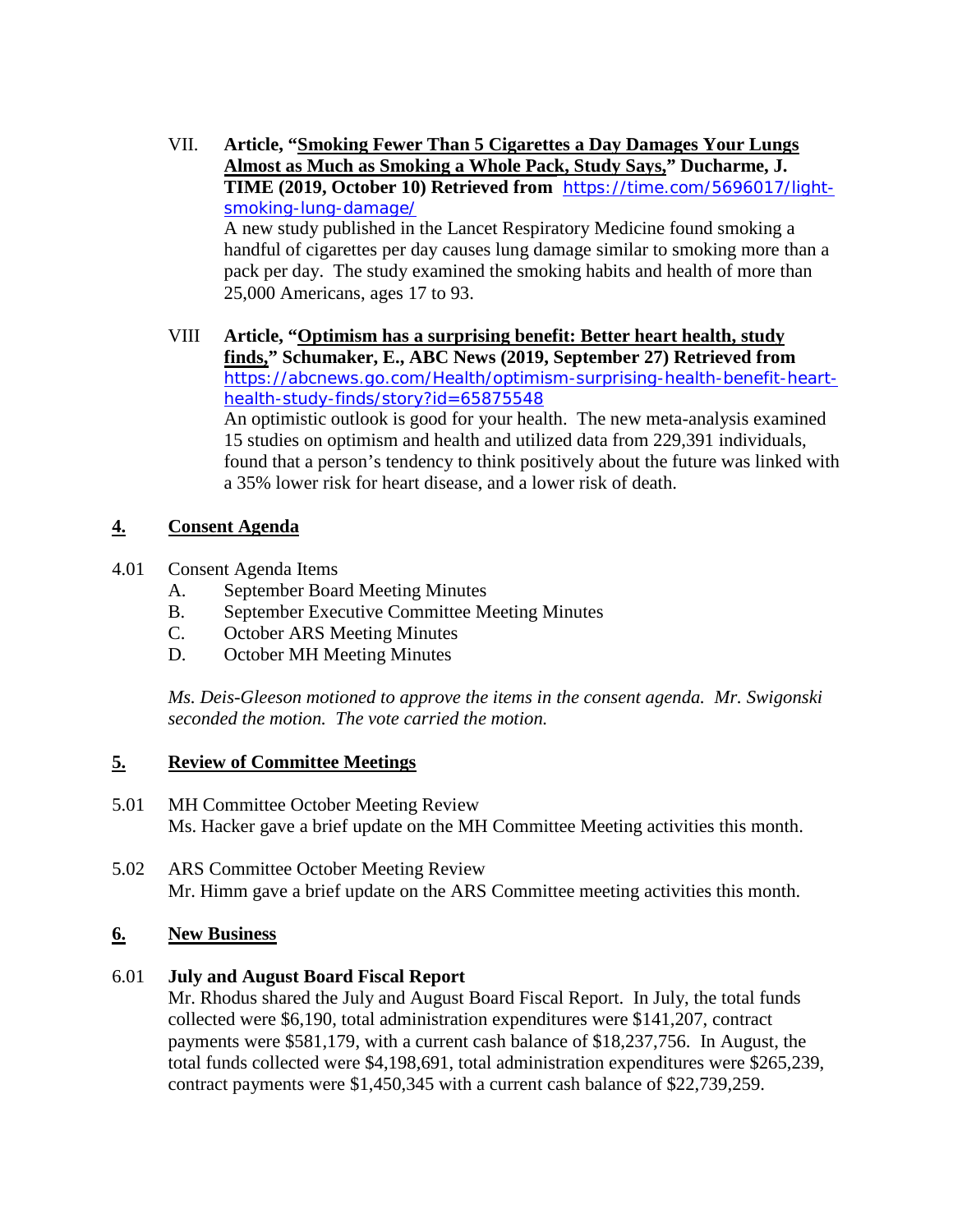- VII. **Article, "Smoking Fewer Than 5 Cigarettes a Day Damages Your Lungs Almost as Much as Smoking a Whole Pack, Study Says," Ducharme, J. TIME (2019, October 10) Retrieved from** [https://time.com/5696017/light](https://time.com/5696017/light-smoking-lung-damage/)[smoking-lung-damage/](https://time.com/5696017/light-smoking-lung-damage/)  A new study published in the Lancet Respiratory Medicine found smoking a handful of cigarettes per day causes lung damage similar to smoking more than a pack per day. The study examined the smoking habits and health of more than 25,000 Americans, ages 17 to 93.
- VIII **Article, "Optimism has a surprising benefit: Better heart health, study finds," Schumaker, E., ABC News (2019, September 27) Retrieved from**  [https://abcnews.go.com/Health/optimism-surprising-health-benefit-heart](https://abcnews.go.com/Health/optimism-surprising-health-benefit-heart-health-study-finds/story?id=65875548)[health-study-finds/story?id=65875548](https://abcnews.go.com/Health/optimism-surprising-health-benefit-heart-health-study-finds/story?id=65875548) An optimistic outlook is good for your health. The new meta-analysis examined

15 studies on optimism and health and utilized data from 229,391 individuals, found that a person's tendency to think positively about the future was linked with a 35% lower risk for heart disease, and a lower risk of death.

# **4. Consent Agenda**

- 4.01 Consent Agenda Items
	- A. September Board Meeting Minutes
	- B. September Executive Committee Meeting Minutes
	- C. October ARS Meeting Minutes
	- D. October MH Meeting Minutes

*Ms. Deis-Gleeson motioned to approve the items in the consent agenda. Mr. Swigonski seconded the motion. The vote carried the motion.*

# **5. Review of Committee Meetings**

- 5.01 MH Committee October Meeting Review Ms. Hacker gave a brief update on the MH Committee Meeting activities this month.
- 5.02 ARS Committee October Meeting Review Mr. Himm gave a brief update on the ARS Committee meeting activities this month.

# **6. New Business**

## 6.01 **July and August Board Fiscal Report**

Mr. Rhodus shared the July and August Board Fiscal Report. In July, the total funds collected were \$6,190, total administration expenditures were \$141,207, contract payments were \$581,179, with a current cash balance of \$18,237,756. In August, the total funds collected were \$4,198,691, total administration expenditures were \$265,239, contract payments were \$1,450,345 with a current cash balance of \$22,739,259.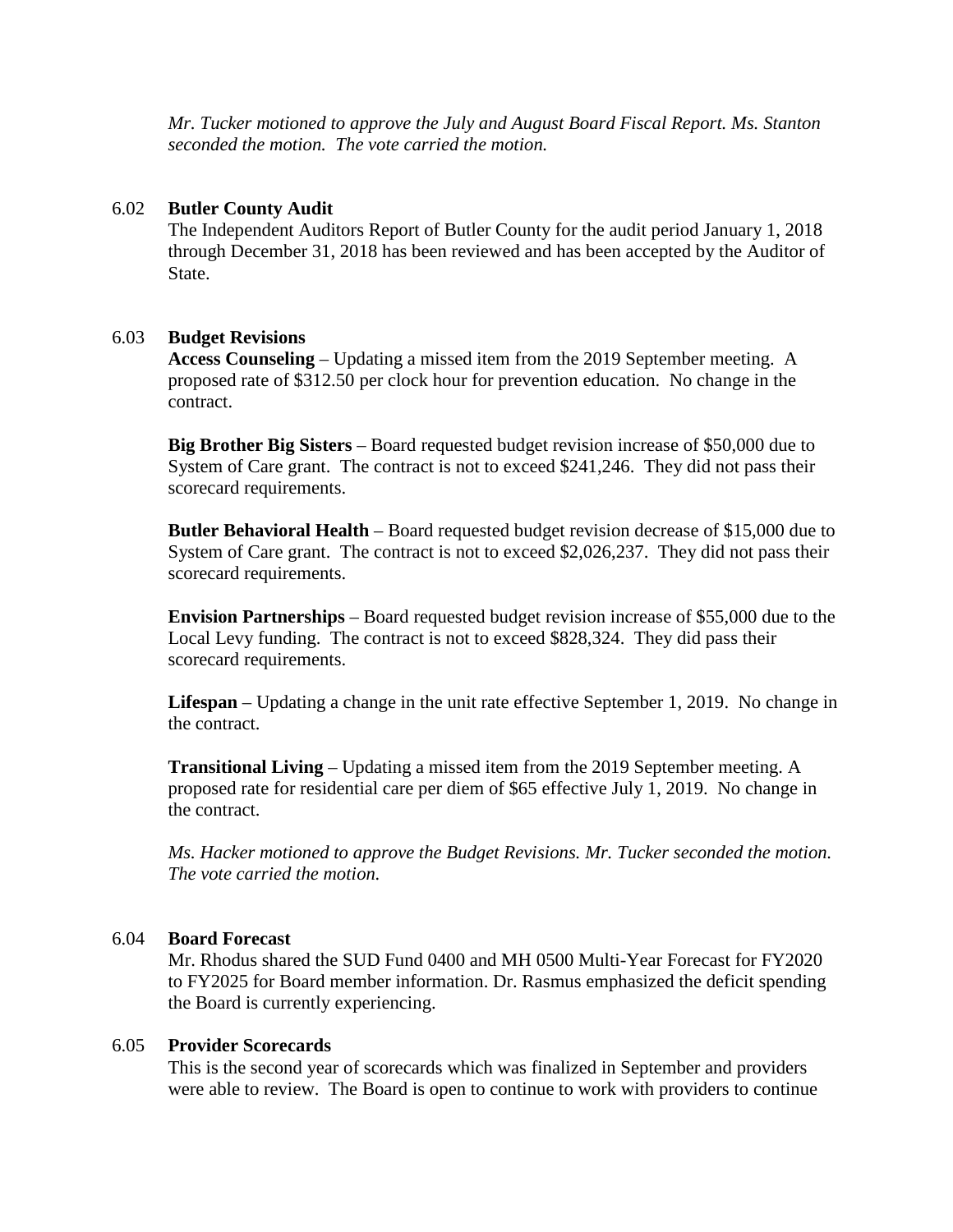*Mr. Tucker motioned to approve the July and August Board Fiscal Report. Ms. Stanton seconded the motion. The vote carried the motion.*

### 6.02 **Butler County Audit**

The Independent Auditors Report of Butler County for the audit period January 1, 2018 through December 31, 2018 has been reviewed and has been accepted by the Auditor of State.

### 6.03 **Budget Revisions**

**Access Counseling** – Updating a missed item from the 2019 September meeting. A proposed rate of \$312.50 per clock hour for prevention education. No change in the contract.

**Big Brother Big Sisters** – Board requested budget revision increase of \$50,000 due to System of Care grant. The contract is not to exceed \$241,246. They did not pass their scorecard requirements.

**Butler Behavioral Health** – Board requested budget revision decrease of \$15,000 due to System of Care grant. The contract is not to exceed \$2,026,237. They did not pass their scorecard requirements.

**Envision Partnerships** – Board requested budget revision increase of \$55,000 due to the Local Levy funding. The contract is not to exceed \$828,324. They did pass their scorecard requirements.

**Lifespan** – Updating a change in the unit rate effective September 1, 2019. No change in the contract.

**Transitional Living** – Updating a missed item from the 2019 September meeting. A proposed rate for residential care per diem of \$65 effective July 1, 2019. No change in the contract.

*Ms. Hacker motioned to approve the Budget Revisions. Mr. Tucker seconded the motion. The vote carried the motion.*

#### 6.04 **Board Forecast**

Mr. Rhodus shared the SUD Fund 0400 and MH 0500 Multi-Year Forecast for FY2020 to FY2025 for Board member information. Dr. Rasmus emphasized the deficit spending the Board is currently experiencing.

### 6.05 **Provider Scorecards**

This is the second year of scorecards which was finalized in September and providers were able to review. The Board is open to continue to work with providers to continue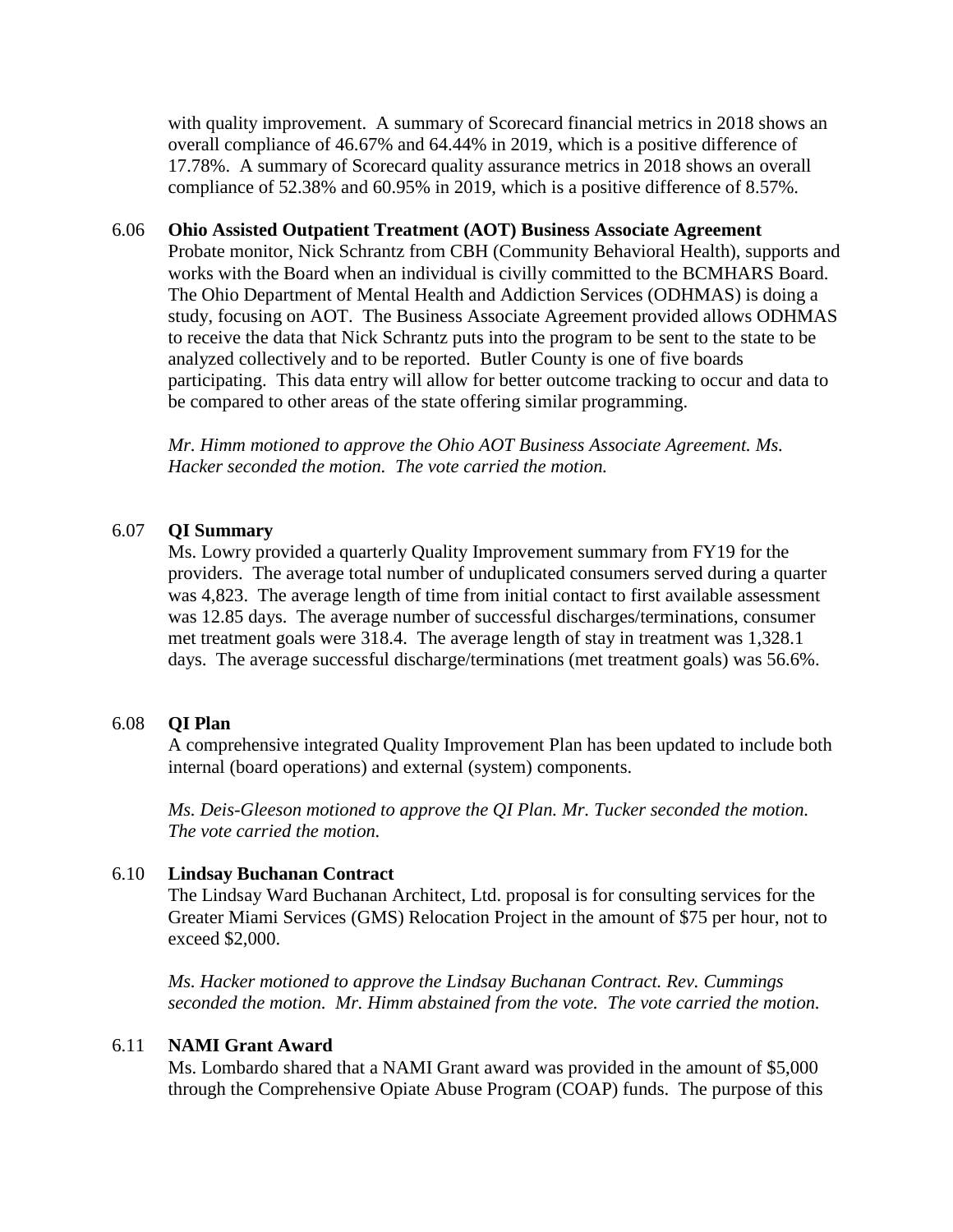with quality improvement. A summary of Scorecard financial metrics in 2018 shows an overall compliance of 46.67% and 64.44% in 2019, which is a positive difference of 17.78%. A summary of Scorecard quality assurance metrics in 2018 shows an overall compliance of 52.38% and 60.95% in 2019, which is a positive difference of 8.57%.

### 6.06 **Ohio Assisted Outpatient Treatment (AOT) Business Associate Agreement**

Probate monitor, Nick Schrantz from CBH (Community Behavioral Health), supports and works with the Board when an individual is civilly committed to the BCMHARS Board. The Ohio Department of Mental Health and Addiction Services (ODHMAS) is doing a study, focusing on AOT. The Business Associate Agreement provided allows ODHMAS to receive the data that Nick Schrantz puts into the program to be sent to the state to be analyzed collectively and to be reported. Butler County is one of five boards participating. This data entry will allow for better outcome tracking to occur and data to be compared to other areas of the state offering similar programming.

*Mr. Himm motioned to approve the Ohio AOT Business Associate Agreement. Ms. Hacker seconded the motion. The vote carried the motion.*

### 6.07 **QI Summary**

Ms. Lowry provided a quarterly Quality Improvement summary from FY19 for the providers. The average total number of unduplicated consumers served during a quarter was 4,823. The average length of time from initial contact to first available assessment was 12.85 days. The average number of successful discharges/terminations, consumer met treatment goals were 318.4. The average length of stay in treatment was 1,328.1 days. The average successful discharge/terminations (met treatment goals) was 56.6%.

#### 6.08 **QI Plan**

A comprehensive integrated Quality Improvement Plan has been updated to include both internal (board operations) and external (system) components.

*Ms. Deis-Gleeson motioned to approve the QI Plan. Mr. Tucker seconded the motion. The vote carried the motion.*

#### 6.10 **Lindsay Buchanan Contract**

The Lindsay Ward Buchanan Architect, Ltd. proposal is for consulting services for the Greater Miami Services (GMS) Relocation Project in the amount of \$75 per hour, not to exceed \$2,000.

*Ms. Hacker motioned to approve the Lindsay Buchanan Contract. Rev. Cummings seconded the motion. Mr. Himm abstained from the vote. The vote carried the motion.*

### 6.11 **NAMI Grant Award**

Ms. Lombardo shared that a NAMI Grant award was provided in the amount of \$5,000 through the Comprehensive Opiate Abuse Program (COAP) funds. The purpose of this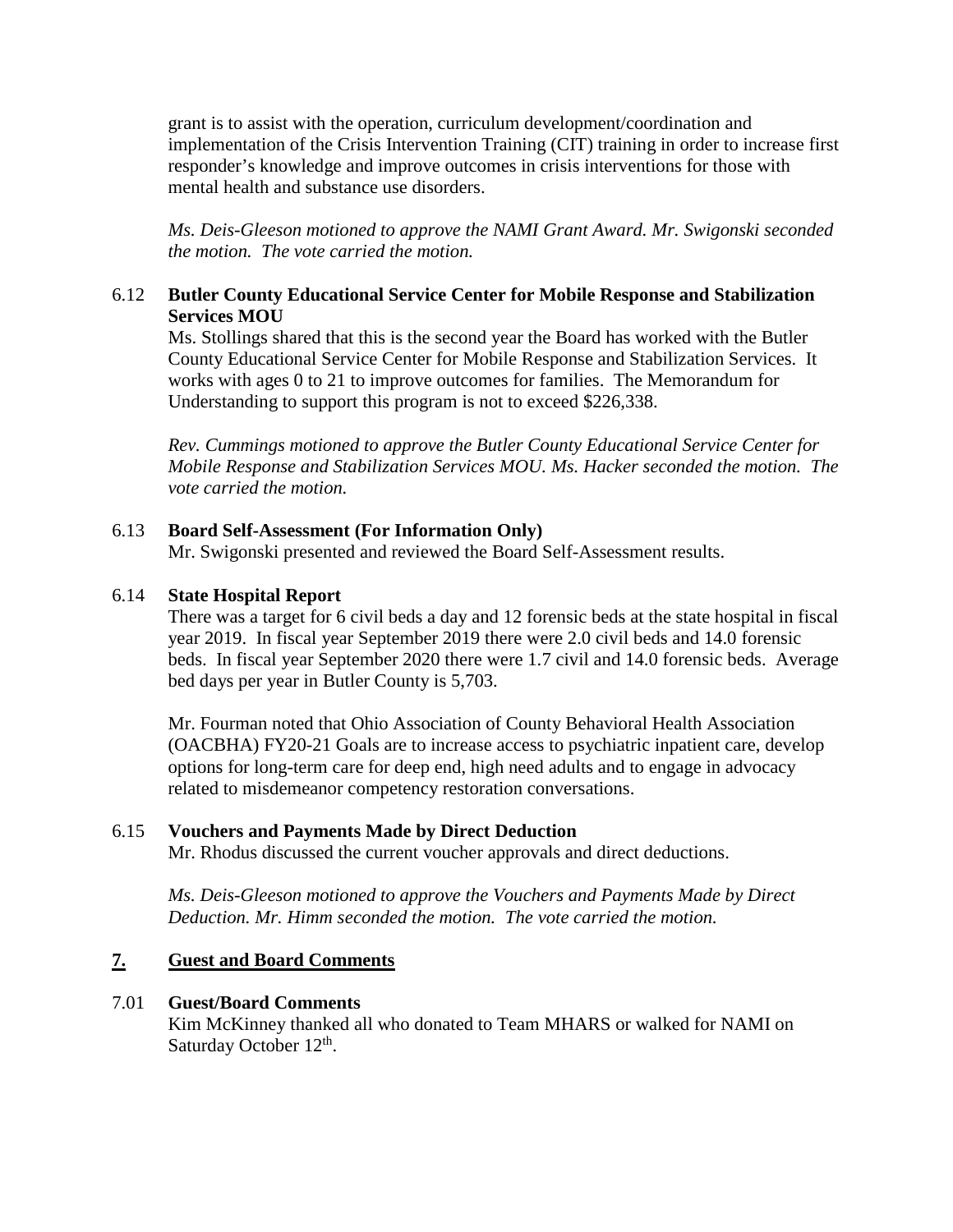grant is to assist with the operation, curriculum development/coordination and implementation of the Crisis Intervention Training (CIT) training in order to increase first responder's knowledge and improve outcomes in crisis interventions for those with mental health and substance use disorders.

*Ms. Deis-Gleeson motioned to approve the NAMI Grant Award. Mr. Swigonski seconded the motion. The vote carried the motion.*

## 6.12 **Butler County Educational Service Center for Mobile Response and Stabilization Services MOU**

Ms. Stollings shared that this is the second year the Board has worked with the Butler County Educational Service Center for Mobile Response and Stabilization Services. It works with ages 0 to 21 to improve outcomes for families. The Memorandum for Understanding to support this program is not to exceed \$226,338.

*Rev. Cummings motioned to approve the Butler County Educational Service Center for Mobile Response and Stabilization Services MOU. Ms. Hacker seconded the motion. The vote carried the motion.*

## 6.13 **Board Self-Assessment (For Information Only)**

Mr. Swigonski presented and reviewed the Board Self-Assessment results.

## 6.14 **State Hospital Report**

There was a target for 6 civil beds a day and 12 forensic beds at the state hospital in fiscal year 2019. In fiscal year September 2019 there were 2.0 civil beds and 14.0 forensic beds. In fiscal year September 2020 there were 1.7 civil and 14.0 forensic beds. Average bed days per year in Butler County is 5,703.

Mr. Fourman noted that Ohio Association of County Behavioral Health Association (OACBHA) FY20-21 Goals are to increase access to psychiatric inpatient care, develop options for long-term care for deep end, high need adults and to engage in advocacy related to misdemeanor competency restoration conversations.

### 6.15 **Vouchers and Payments Made by Direct Deduction**

Mr. Rhodus discussed the current voucher approvals and direct deductions.

*Ms. Deis-Gleeson motioned to approve the Vouchers and Payments Made by Direct Deduction. Mr. Himm seconded the motion. The vote carried the motion.*

## **7. Guest and Board Comments**

### 7.01 **Guest/Board Comments**

Kim McKinney thanked all who donated to Team MHARS or walked for NAMI on Saturday October 12<sup>th</sup>.